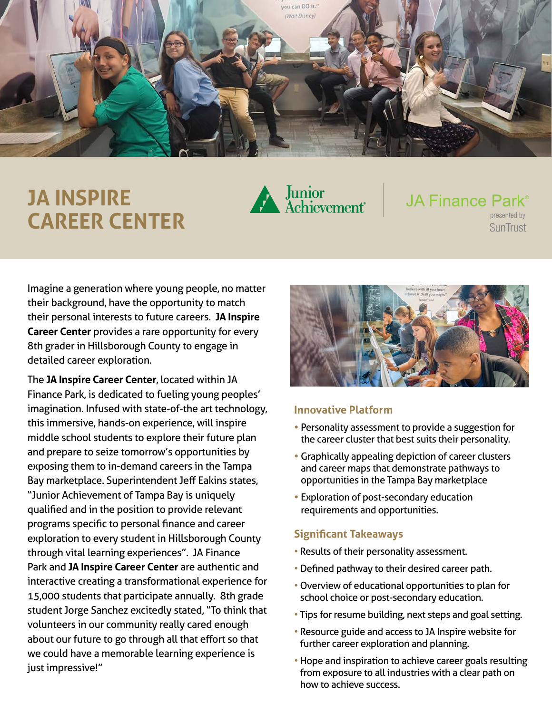

# **JA INSPIRE CAREER CENTER**



## **JA Finance Park**<sup>®</sup> presented by

**SunTrust** 

Imagine a generation where young people, no matter their background, have the opportunity to match their personal interests to future careers. **JA Inspire Career Center** provides a rare opportunity for every 8th grader in Hillsborough County to engage in detailed career exploration.

The **JA Inspire Career Center**, located within JA Finance Park, is dedicated to fueling young peoples' imagination. Infused with state-of-the art technology, this immersive, hands-on experience, will inspire middle school students to explore their future plan and prepare to seize tomorrow's opportunities by exposing them to in-demand careers in the Tampa Bay marketplace. Superintendent Jeff Eakins states, "Junior Achievement of Tampa Bay is uniquely qualified and in the position to provide relevant programs specific to personal finance and career exploration to every student in Hillsborough County through vital learning experiences". JA Finance Park and **JA Inspire Career Center** are authentic and interactive creating a transformational experience for 15,000 students that participate annually. 8th grade student Jorge Sanchez excitedly stated, "To think that volunteers in our community really cared enough about our future to go through all that effort so that we could have a memorable learning experience is just impressive!"



#### **Innovative Platform**

- Personality assessment to provide a suggestion for the career cluster that best suits their personality.
- Graphically appealing depiction of career clusters and career maps that demonstrate pathways to opportunities in the Tampa Bay marketplace
- Exploration of post-secondary education requirements and opportunities.

#### **Significant Takeaways**

- Results of their personality assessment.
- Defined pathway to their desired career path.
- Overview of educational opportunities to plan for school choice or post-secondary education.
- Tips for resume building, next steps and goal setting.
- Resource guide and access to JA Inspire website for further career exploration and planning.
- Hope and inspiration to achieve career goals resulting from exposure to all industries with a clear path on how to achieve success.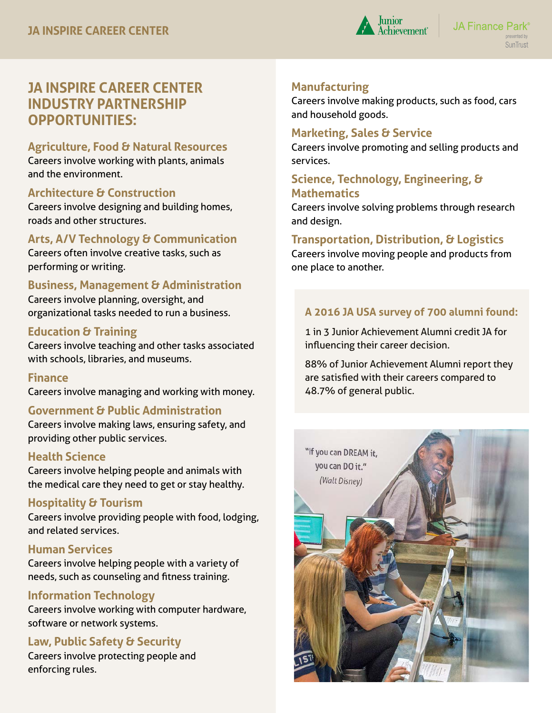

# **JA INSPIRE CAREER CENTER INDUSTRY PARTNERSHIP OPPORTUNITIES:**

#### **Agriculture, Food & Natural Resources**

Careers involve working with plants, animals and the environment.

#### **Architecture & Construction**

Careers involve designing and building homes, roads and other structures.

## **Arts, A/V Technology & Communication**

Careers often involve creative tasks, such as performing or writing.

## **Business, Management & Administration**

Careers involve planning, oversight, and organizational tasks needed to run a business.

#### **Education & Training**

Careers involve teaching and other tasks associated with schools, libraries, and museums.

#### **Finance**

Careers involve managing and working with money.

## **Government & Public Administration**

Careers involve making laws, ensuring safety, and providing other public services.

#### **Health Science**

Careers involve helping people and animals with the medical care they need to get or stay healthy.

#### **Hospitality & Tourism**

Careers involve providing people with food, lodging, and related services.

#### **Human Services**

Careers involve helping people with a variety of needs, such as counseling and fitness training.

#### **Information Technology**

Careers involve working with computer hardware, software or network systems.

## **Law, Public Safety & Security**

Careers involve protecting people and enforcing rules.

## **Manufacturing**

Careers involve making products, such as food, cars and household goods.

#### **Marketing, Sales & Service**

Careers involve promoting and selling products and services.

## **Science, Technology, Engineering, & Mathematics**

Careers involve solving problems through research and design.

## **Transportation, Distribution, & Logistics**

Careers involve moving people and products from one place to another.

## **A 2016 JA USA survey of 700 alumni found:**

 1 in 3 Junior Achievement Alumni credit JA for influencing their career decision.

 88% of Junior Achievement Alumni report they are satisfied with their careers compared to 48.7% of general public.